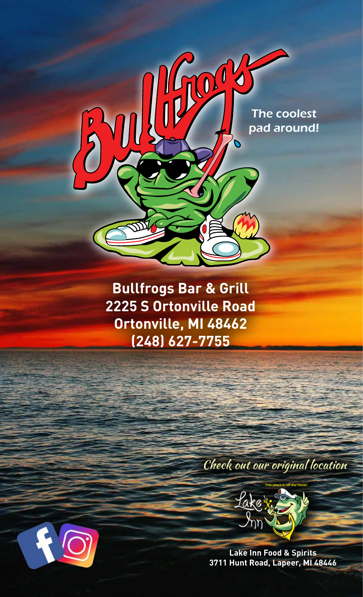

**Bullfrogs Bar & Grill 2225 S Ortonville Road Ortonville, MI 48462 (248) 627-7755**

### Check out our original location



**Lake Inn Food & Spirits 3711 Hunt Road, Lapeer, MI 48446** 

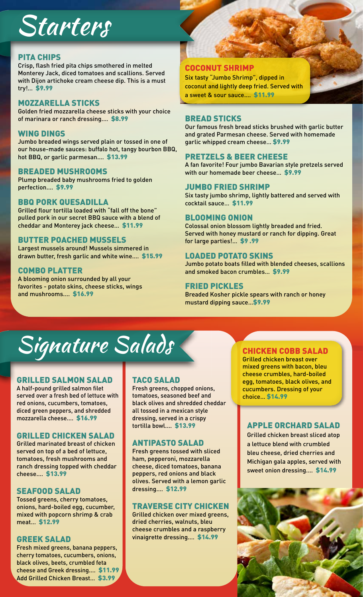## Starters

#### PITA CHIPS

Crisp, flash fried pita chips smothered in melted Monterey Jack, diced tomatoes and scallions. Served with Dijon artichoke cream cheese dip. This is a must try!… \$9.99

#### MOZZARELLA STICKS

Golden fried mozzarella cheese sticks with your choice of marinara or ranch dressing.… \$8.99

#### WING DINGS

Jumbo breaded wings served plain or tossed in one of our house-made sauces: buffalo hot, tangy bourbon BBQ, hot BBQ, or garlic parmesan.… \$13.99

#### BREADED MUSHROOMS

Plump breaded baby mushrooms fried to golden perfection.… \$9.99

#### BBQ PORK QUESADILLA

Grilled flour tortilla loaded with "fall off the bone" pulled pork in our secret BBQ sauce with a blend of cheddar and Monterey jack cheese… \$11.99

#### BUTTER POACHED MUSSELS

Largest mussels around! Mussels simmered in drawn butter, fresh garlic and white wine.… \$15.99

#### COMBO PLATTER

A blooming onion surrounded by all your favorites - potato skins, cheese sticks, wings and mushrooms.… \$16.99

#### COCONUT SHRIMP

Six tasty "Jumbo Shrimp", dipped in coconut and lightly deep fried. Served with a sweet & sour sauce.… \$11.99

#### BREAD STICKS

Our famous fresh bread sticks brushed with garlic butter and grated Parmesan cheese. Served with homemade garlic whipped cream cheese… \$9.99

#### PRETZELS & BEER CHEESE

A fan favorite! Four jumbo Bavarian style pretzels served with our homemade beer cheese… \$9.99

#### JUMBO FRIED SHRIMP

Six tasty jumbo shrimp, lightly battered and served with cocktail sauce… \$11.99

#### BLOOMING ONION

Colossal onion blossom lightly breaded and fried. Served with honey mustard or ranch for dipping. Great for large parties!… \$9 .99

#### LOADED POTATO SKINS

Jumbo potato boats filled with blended cheeses, scallions and smoked bacon crumbles… \$9.99

#### FRIED PICKLES

Breaded Kosher pickle spears with ranch or honey mustard dipping sauce…\$9.99

## Signature Salads

#### GRILLED SALMON SALAD

A half-pound grilled salmon filet served over a fresh bed of lettuce with red onions, cucumbers, tomatoes, diced green peppers, and shredded mozzarella cheese.… \$16.99

#### GRILLED CHICKEN SALAD

Grilled marinated breast of chicken served on top of a bed of lettuce, tomatoes, fresh mushrooms and ranch dressing topped with cheddar cheese.… \$13.99

#### SEAFOOD SALAD

Tossed greens, cherry tomatoes, onions, hard-boiled egg, cucumber, mixed with popcorn shrimp & crab meat… \$12.99

#### GREEK SALAD

Fresh mixed greens, banana peppers, cherry tomatoes, cucumbers, onions, black olives, beets, crumbled feta cheese and Greek dressing.… \$11.99 Add Grilled Chicken Breast… \$3.99

#### TACO SALAD

Fresh greens, chopped onions, tomatoes, seasoned beef and black olives and shredded cheddar all tossed in a mexican style dressing, served in a crispy tortilla bowl.… \$13.99

#### ANTIPASTO SALAD

Fresh greens tossed with sliced ham, pepperoni, mozzarella cheese, diced tomatoes, banana peppers, red onions and black olives. Served with a lemon garlic dressing.… \$12.99

#### TRAVERSE CITY CHICKEN

Grilled chicken over mixed greens, dried cherries, walnuts, bleu cheese crumbles and a raspberry vinaigrette dressing.… \$14.99

#### CHICKEN COBB SALAD

Grilled chicken breast over mixed greens with bacon, bleu cheese crumbles, hard-boiled egg, tomatoes, black olives, and cucumbers. Dressing of your choice… \$14.99

#### APPLE ORCHARD SALAD

Grilled chicken breast sliced atop a lettuce blend with crumbled bleu cheese, dried cherries and Michigan gala apples, served with sweet onion dressing.… \$14.99

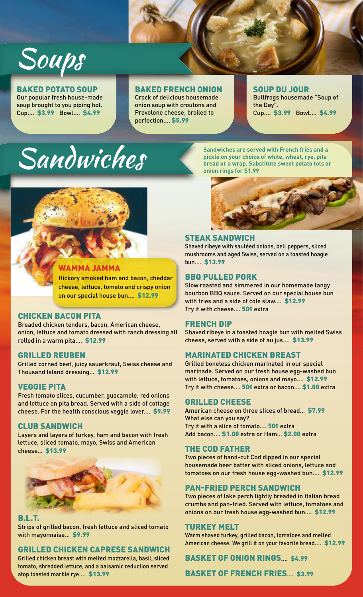

#### BAKED POTATO SOUP Our popular fresh house-made

soup brought to you piping hot. Cup.… \$3.99 Bowl.… \$4.99

#### BAKED FRENCH ONION

Crock of delicious housemade onion soup with croutons and Provolone cheese, broiled to perfection.... \$5.99

#### SOUP DU JOUR

Bullfrogs housemade "Soup of the Day". Cup.… \$3.99 Bowl.… \$4.99

# Sandwiches

**Sandwiches are served with French fries and a pickle on your choice of white, wheat, rye, pita bread or a wrap. Substitute sweet potato tots or onion rings for \$1.99**



#### WAMMA JAMMA

Hickory smoked ham and bacon, cheddar cheese, lettuce, tomato and crispy onion on our special house bun.… \$12.99

#### CHICKEN BACON PITA

Breaded chicken tenders, bacon, American cheese, onion, lettuce and tomato dressed with ranch dressing all rolled in a warm pita.… \$12.99

#### GRILLED REUBEN

Grilled corned beef, juicy sauerkraut, Swiss cheese and Thousand Island dressing… \$12.99

#### VEGGIE PITA

Fresh tomato slices, cucumber, guacamole, red onions and lettuce on pita bread. Served with a side of cottage cheese. For the health conscious veggie lover.… \$9.99

#### CLUB SANDWICH

Layers and layers of turkey, ham and bacon with fresh lettuce, sliced tomato, mayo, Swiss and American cheese… \$13.99



#### B.L.T.

Strips of grilled bacon, fresh lettuce and sliced tomato with mayonnaise… \$9.99

#### GRILLED CHICKEN CAPRESE SANDWICH

Grilled chicken breast with melted mozzarella, basil, sliced tomato, shredded lettuce, and a balsamic reduction served atop toasted marble rye.… \$13.99



#### STEAK SANDWICH

Shaved ribeye with sautéed onions, bell peppers, sliced mushrooms and aged Swiss, served on a toasted hoagie bun.… \$13.99

#### BBQ PULLED PORK

Slow roasted and simmered in our homemade tangy bourbon BBQ sauce. Served on our special house bun with fries and a side of cole slaw.… \$12.99 Try it with cheese.… 50¢ extra

#### FRENCH DIP

Shaved ribeye in a toasted hoagie bun with melted Swiss cheese, served with a side of au jus.… \$13.99

#### MARINATED CHICKEN BREAST

Grilled boneless chicken marinated in our special marinade. Served on our fresh house egg-washed bun with lettuce, tomatoes, onions and mayo.… \$12.99 Try it with cheese.… 50¢ extra or bacon.… \$1.00 extra

#### GRILLED CHEESE

American cheese on three slices of bread… \$7.99 What else can you say? Try it with a slice of tomato.… 50¢ extra Add bacon.… \$1.00 extra or Ham… \$2.00 extra

#### THE COD FATHER

Two pieces of hand-cut Cod dipped in our special housemade beer batter with sliced onions, lettuce and tomatoes on our fresh house egg-washed bun.… \$12.99

#### PAN-FRIED PERCH SANDWICH

Two pieces of lake perch lightly breaded in Italian bread crumbs and pan-fried. Served with lettuce, tomatoes and onions on our fresh house egg-washed bun.… \$12.99

#### TURKEY MELT

Warm shaved turkey, grilled bacon, tomatoes and melted American cheese. We grill it on your favorite bread.… \$12.99

#### BASKET OF ONION RINGS.… \$4.99

BASKET OF FRENCH FRIES... \$3.99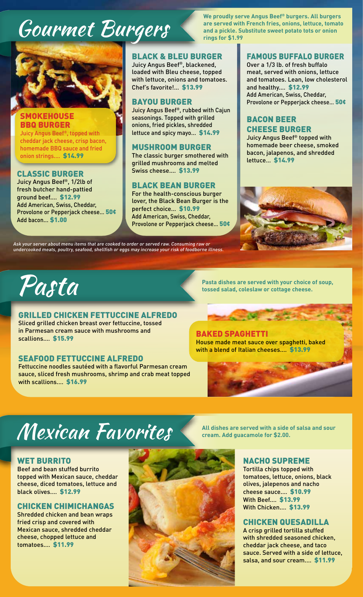### **COUPMET BURGERS** are served with French fries, onions, lettuce, toma<br>
rings for \$1.99



#### SMOKEHOUSE BBQ BURGER

Juicy Angus Beef®, topped with cheddar jack cheese, crisp bacon, homemade BBQ sauce and fried onion strings.… \$14.99

#### CLASSIC BURGER

Juicy Angus Beef®, 1/2lb of fresh butcher hand-pattied ground beef.… \$12.99 Add American, Swiss, Cheddar, Provolone or Pepperjack cheese… 50¢ Add bacon… \$1.00

#### BLACK & BLEU BURGER

Juicy Angus Beef®, blackened, loaded with Bleu cheese, topped with lettuce, onions and tomatoes. Chef's favorite!… \$13.99

#### BAYOU BURGER

Juicy Angus Beef®, rubbed with Cajun seasonings. Topped with grilled onions, fried pickles, shredded lettuce and spicy mayo… \$14.99

#### MUSHROOM BURGER

The classic burger smothered with grilled mushrooms and melted Swiss cheese.… \$13.99

#### BLACK BEAN BURGER

For the health-conscious burger lover, the Black Bean Burger is the perfect choice… \$10.99 Add American, Swiss, Cheddar, Provolone or Pepperjack cheese… 50¢

Ask your server about menu items that are cooked to order or served raw. Consuming raw or undercooked meats, poultry, seafood, shellfish or eggs may increase your risk of foodborne illness.

**We proudly serve Angus Beef® burgers. All burgers are served with French fries, onions, lettuce, tomato** 

#### FAMOUS BUFFALO BURGER

Over a 1/3 lb. of fresh buffalo meat, served with onions, lettuce and tomatoes. Lean, low cholesterol and healthy.… \$12.99 Add American, Swiss, Cheddar, Provolone or Pepperjack cheese… 50¢

#### BACON BEER CHEESE BURGER

Juicy Angus Beef® topped with homemade beer cheese, smoked bacon, jalapenos, and shredded lettuce… \$14.99



#### GRILLED CHICKEN FETTUCCINE ALFREDO

Sliced grilled chicken breast over fettuccine, tossed in Parmesan cream sauce with mushrooms and scallions.… \$15.99

#### SEAFOOD FETTUCCINE ALFREDO

Fettuccine noodles sautéed with a flavorful Parmesan cream sauce, sliced fresh mushrooms, shrimp and crab meat topped with scallions.… \$16.99

**Pasta dishes are served with your choice of soup,**<br>tossed salad, coleslaw or cottage cheese.

#### BAKED SPAGHETTI

House made meat sauce over spaghetti, baked with a blend of Italian cheeses.… \$13.99

### **Mexican Favorites All dishes are served with a side of salsa and sour**

#### WET BURRITO

Beef and bean stuffed burrito topped with Mexican sauce, cheddar cheese, diced tomatoes, lettuce and black olives.… \$12.99

#### CHICKEN CHIMICHANGAS

Shredded chicken and bean wraps fried crisp and covered with Mexican sauce, shredded cheddar cheese, chopped lettuce and tomatoes.… \$11.99



#### NACHO SUPREME

Tortilla chips topped with tomatoes, lettuce, onions, black olives, jalepenos and nacho cheese sauce.… \$10.99 With Beef.… \$13.99 With Chicken.… \$13.99

#### CHICKEN QUESADILLA

A crisp grilled tortilla stuffed with shredded seasoned chicken, cheddar jack cheese, and taco sauce. Served with a side of lettuce, salsa, and sour cream.… \$11.99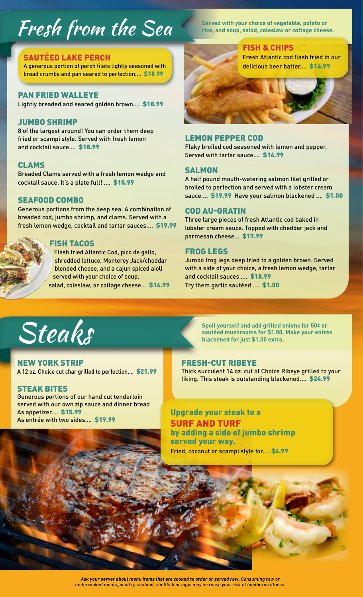### Fresh from the Sea **reserved with your choice of vegetable**, potato or rice, and soup, salad, coleslaw or cottage cheese.

#### SAUTEED LAKE PERCH

A generous portion of perch filets lightly seasoned with bread crumbs and pan seared to perfection.… \$18.99

#### PAN FRIED WALLEYE

Lightly breaded and seared golden brown.… \$18.99

#### JUMBO SHRIMP

8 of the largest around! You can order them deep fried or scampi style. Served with fresh lemon and cocktail sauce.… \$18.99

#### CLAMS

Breaded Clams served with a fresh lemon wedge and cocktail sauce. It's a plate full! .… \$15.99

#### SEAFOOD COMBO

Generous portions from the deep sea. A combination of breaded cod, jumbo shrimp, and clams. Served with a fresh lemon wedge, cocktail and tartar sauces.… \$19.99

#### FISH TACOS

Flash fried Atlantic Cod, pico de gallo, shredded lettuce, Monterey Jack/cheddar blended cheese, and a cajun spiced aioli served with your choice of soup, salad, coleslaw, or cottage cheese... \$16.99

FISH & CHIPS Fresh Atlantic cod flash fried in our delicious beer batter. \$16.99

#### LEMON PEPPER COD

Flaky broiled cod seasoned with lemon and pepper. Served with tartar sauce.… \$16.99

#### **SALMON**

A half pound mouth-watering salmon filet grilled or broiled to perfection and served with a lobster cream sauce.… \$19.99 Have your salmon blackened .… \$1.00

#### COD AU-GRATIN

Three large pieces of fresh Atlantic cod baked in lobster cream sauce. Topped with cheddar jack and parmesan cheese… \$17.99

#### FROG LEGS

Jumbo frog legs deep fried to a golden brown. Served with a side of your choice, a fresh lemon wedge, tartar and cocktail sauces .… \$18.99 Try them garlic sautéed .… \$1.00



NEW YORK STRIP A 12 oz. Choice cut char grilled to perfection.… \$21.99

#### STEAK BITES

Generous portions of our hand cut tenderloin served with our own zip sauce and dinner bread As appetizer.… \$15.99 As entrée with two sides.… \$19.99

**Spoil yourself and add grilled onions for 50¢ or**  Steaks and Spoil yourself and add grilled onions for 50¢ or<br>autéed mushrooms for \$1.00. Make your entrée<br>blackened for just \$1.00 extra.

#### FRESH-CUT RIBEYE

Thick succulent 14 oz. cut of Choice Ribeye grilled to your liking. This steak is outstanding blackened.… \$24.99

#### Upgrade your steak to a SURF AND TURF by adding a side of jumbo shrimp served your way.

Fried, coconut or scampi style for.... \$4.99